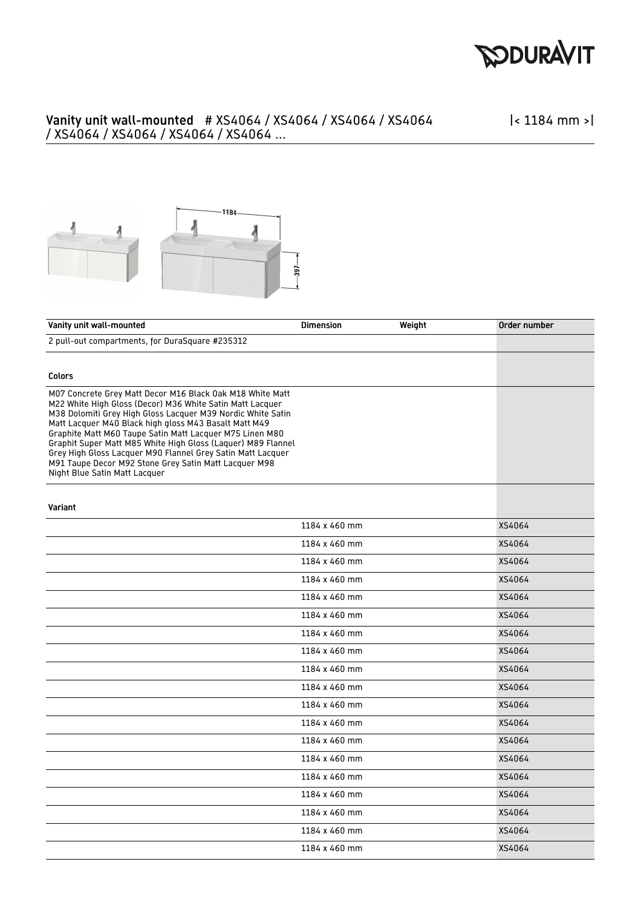

## Vanity unit wall-mounted # XS4064 / XS4064 / XS4064 / XS4064 / XS4064 / XS4064 / XS4064 / XS4064 ...

|< 1184 mm >|



| Vanity unit wall-mounted                                                                                                                                                                                                                                                                                                                                                                                                                                                                                                            | <b>Dimension</b> | Weight | Order number |
|-------------------------------------------------------------------------------------------------------------------------------------------------------------------------------------------------------------------------------------------------------------------------------------------------------------------------------------------------------------------------------------------------------------------------------------------------------------------------------------------------------------------------------------|------------------|--------|--------------|
| 2 pull-out compartments, for DuraSquare #235312                                                                                                                                                                                                                                                                                                                                                                                                                                                                                     |                  |        |              |
|                                                                                                                                                                                                                                                                                                                                                                                                                                                                                                                                     |                  |        |              |
| <b>Colors</b>                                                                                                                                                                                                                                                                                                                                                                                                                                                                                                                       |                  |        |              |
| M07 Concrete Grey Matt Decor M16 Black Oak M18 White Matt<br>M22 White High Gloss (Decor) M36 White Satin Matt Lacquer<br>M38 Dolomiti Grey High Gloss Lacquer M39 Nordic White Satin<br>Matt Lacquer M40 Black high gloss M43 Basalt Matt M49<br>Graphite Matt M60 Taupe Satin Matt Lacquer M75 Linen M80<br>Graphit Super Matt M85 White High Gloss (Laquer) M89 Flannel<br>Grey High Gloss Lacquer M90 Flannel Grey Satin Matt Lacquer<br>M91 Taupe Decor M92 Stone Grey Satin Matt Lacquer M98<br>Night Blue Satin Matt Lacquer |                  |        |              |
| Variant                                                                                                                                                                                                                                                                                                                                                                                                                                                                                                                             |                  |        |              |
|                                                                                                                                                                                                                                                                                                                                                                                                                                                                                                                                     | 1184 x 460 mm    |        | XS4064       |
|                                                                                                                                                                                                                                                                                                                                                                                                                                                                                                                                     | 1184 x 460 mm    |        | XS4064       |
|                                                                                                                                                                                                                                                                                                                                                                                                                                                                                                                                     | 1184 x 460 mm    |        | XS4064       |
|                                                                                                                                                                                                                                                                                                                                                                                                                                                                                                                                     | 1184 x 460 mm    |        | XS4064       |
|                                                                                                                                                                                                                                                                                                                                                                                                                                                                                                                                     | 1184 x 460 mm    |        | XS4064       |
|                                                                                                                                                                                                                                                                                                                                                                                                                                                                                                                                     | 1184 x 460 mm    |        | XS4064       |
|                                                                                                                                                                                                                                                                                                                                                                                                                                                                                                                                     | 1184 x 460 mm    |        | XS4064       |
|                                                                                                                                                                                                                                                                                                                                                                                                                                                                                                                                     | 1184 x 460 mm    |        | XS4064       |
|                                                                                                                                                                                                                                                                                                                                                                                                                                                                                                                                     | 1184 x 460 mm    |        | XS4064       |
|                                                                                                                                                                                                                                                                                                                                                                                                                                                                                                                                     | 1184 x 460 mm    |        | XS4064       |
|                                                                                                                                                                                                                                                                                                                                                                                                                                                                                                                                     | 1184 x 460 mm    |        | XS4064       |
|                                                                                                                                                                                                                                                                                                                                                                                                                                                                                                                                     | 1184 x 460 mm    |        | XS4064       |
|                                                                                                                                                                                                                                                                                                                                                                                                                                                                                                                                     | 1184 x 460 mm    |        | XS4064       |
|                                                                                                                                                                                                                                                                                                                                                                                                                                                                                                                                     | 1184 x 460 mm    |        | XS4064       |
|                                                                                                                                                                                                                                                                                                                                                                                                                                                                                                                                     | 1184 x 460 mm    |        | XS4064       |
|                                                                                                                                                                                                                                                                                                                                                                                                                                                                                                                                     | 1184 x 460 mm    |        | XS4064       |
|                                                                                                                                                                                                                                                                                                                                                                                                                                                                                                                                     | 1184 x 460 mm    |        | XS4064       |
|                                                                                                                                                                                                                                                                                                                                                                                                                                                                                                                                     | 1184 x 460 mm    |        | XS4064       |
|                                                                                                                                                                                                                                                                                                                                                                                                                                                                                                                                     | 1184 x 460 mm    |        | XS4064       |